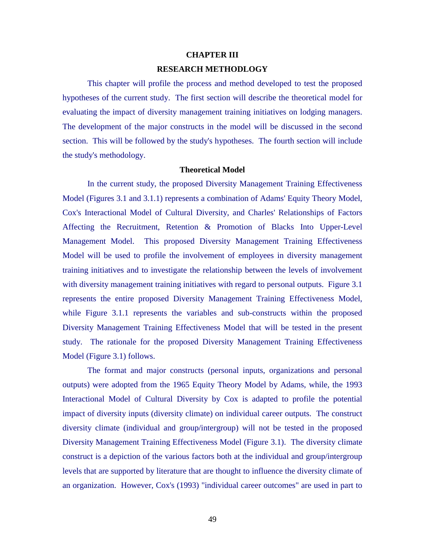### **CHAPTER III**

## **RESEARCH METHODLOGY**

This chapter will profile the process and method developed to test the proposed hypotheses of the current study. The first section will describe the theoretical model for evaluating the impact of diversity management training initiatives on lodging managers. The development of the major constructs in the model will be discussed in the second section. This will be followed by the study's hypotheses. The fourth section will include the study's methodology.

## **Theoretical Model**

In the current study, the proposed Diversity Management Training Effectiveness Model (Figures 3.1 and 3.1.1) represents a combination of Adams' Equity Theory Model, Cox's Interactional Model of Cultural Diversity, and Charles' Relationships of Factors Affecting the Recruitment, Retention & Promotion of Blacks Into Upper-Level Management Model. This proposed Diversity Management Training Effectiveness Model will be used to profile the involvement of employees in diversity management training initiatives and to investigate the relationship between the levels of involvement with diversity management training initiatives with regard to personal outputs. Figure 3.1 represents the entire proposed Diversity Management Training Effectiveness Model, while Figure 3.1.1 represents the variables and sub-constructs within the proposed Diversity Management Training Effectiveness Model that will be tested in the present study. The rationale for the proposed Diversity Management Training Effectiveness Model (Figure 3.1) follows.

The format and major constructs (personal inputs, organizations and personal outputs) were adopted from the 1965 Equity Theory Model by Adams, while, the 1993 Interactional Model of Cultural Diversity by Cox is adapted to profile the potential impact of diversity inputs (diversity climate) on individual career outputs. The construct diversity climate (individual and group/intergroup) will not be tested in the proposed Diversity Management Training Effectiveness Model (Figure 3.1). The diversity climate construct is a depiction of the various factors both at the individual and group/intergroup levels that are supported by literature that are thought to influence the diversity climate of an organization. However, Cox's (1993) "individual career outcomes" are used in part to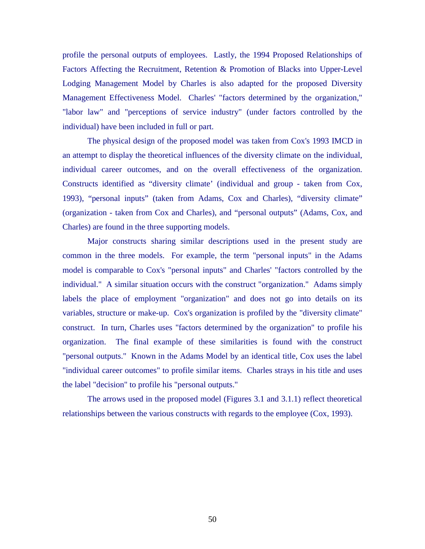profile the personal outputs of employees. Lastly, the 1994 Proposed Relationships of Factors Affecting the Recruitment, Retention & Promotion of Blacks into Upper-Level Lodging Management Model by Charles is also adapted for the proposed Diversity Management Effectiveness Model. Charles' "factors determined by the organization," "labor law" and "perceptions of service industry" (under factors controlled by the individual) have been included in full or part.

The physical design of the proposed model was taken from Cox's 1993 IMCD in an attempt to display the theoretical influences of the diversity climate on the individual, individual career outcomes, and on the overall effectiveness of the organization. Constructs identified as "diversity climate' (individual and group - taken from Cox, 1993), "personal inputs" (taken from Adams, Cox and Charles), "diversity climate" (organization - taken from Cox and Charles), and "personal outputs" (Adams, Cox, and Charles) are found in the three supporting models.

Major constructs sharing similar descriptions used in the present study are common in the three models. For example, the term "personal inputs" in the Adams model is comparable to Cox's "personal inputs" and Charles' "factors controlled by the individual." A similar situation occurs with the construct "organization." Adams simply labels the place of employment "organization" and does not go into details on its variables, structure or make-up. Cox's organization is profiled by the "diversity climate" construct. In turn, Charles uses "factors determined by the organization" to profile his organization. The final example of these similarities is found with the construct "personal outputs." Known in the Adams Model by an identical title, Cox uses the label "individual career outcomes" to profile similar items. Charles strays in his title and uses the label "decision" to profile his "personal outputs."

The arrows used in the proposed model (Figures 3.1 and 3.1.1) reflect theoretical relationships between the various constructs with regards to the employee (Cox, 1993).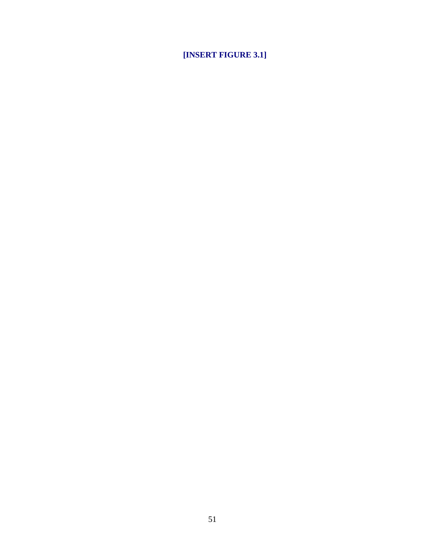**[INSERT FIGURE 3.1]**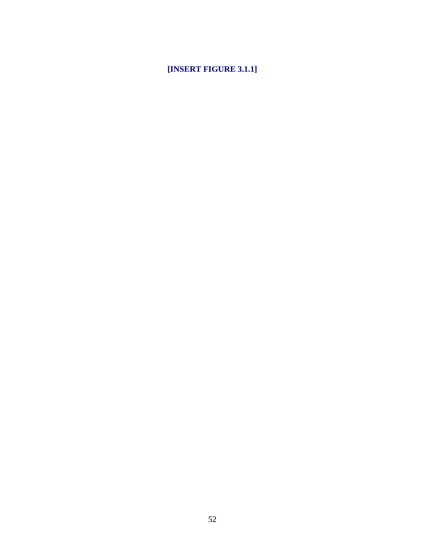# **[INSERT FIGURE 3.1.1]**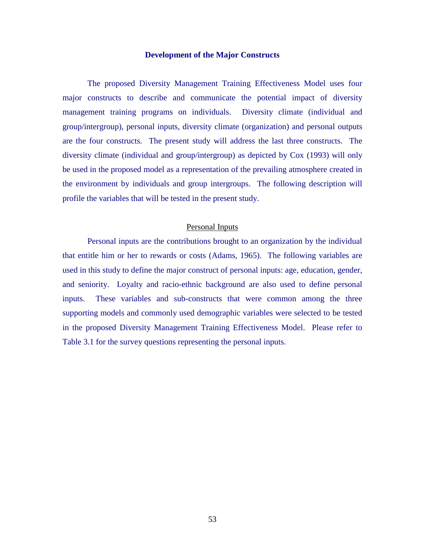#### **Development of the Major Constructs**

The proposed Diversity Management Training Effectiveness Model uses four major constructs to describe and communicate the potential impact of diversity management training programs on individuals. Diversity climate (individual and group/intergroup), personal inputs, diversity climate (organization) and personal outputs are the four constructs. The present study will address the last three constructs. The diversity climate (individual and group/intergroup) as depicted by Cox (1993) will only be used in the proposed model as a representation of the prevailing atmosphere created in the environment by individuals and group intergroups. The following description will profile the variables that will be tested in the present study.

## Personal Inputs

Personal inputs are the contributions brought to an organization by the individual that entitle him or her to rewards or costs (Adams, 1965). The following variables are used in this study to define the major construct of personal inputs: age, education, gender, and seniority. Loyalty and racio-ethnic background are also used to define personal inputs. These variables and sub-constructs that were common among the three supporting models and commonly used demographic variables were selected to be tested in the proposed Diversity Management Training Effectiveness Model. Please refer to Table 3.1 for the survey questions representing the personal inputs.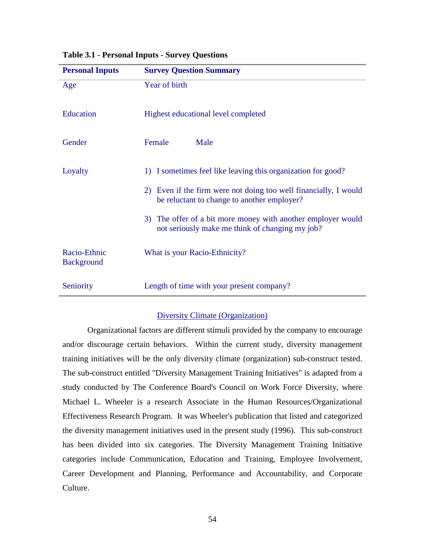| <b>Personal Inputs</b>            | <b>Survey Question Summary</b>                                                                                  |
|-----------------------------------|-----------------------------------------------------------------------------------------------------------------|
| Age                               | Year of birth                                                                                                   |
| Education                         | Highest educational level completed                                                                             |
| Gender                            | Female<br>Male                                                                                                  |
| Loyalty                           | 1) I sometimes feel like leaving this organization for good?                                                    |
|                                   | 2) Even if the firm were not doing too well financially, I would<br>be reluctant to change to another employer? |
|                                   | 3) The offer of a bit more money with another employer would<br>not seriously make me think of changing my job? |
| Racio-Ethnic<br><b>Background</b> | What is your Racio-Ethnicity?                                                                                   |
| Seniority                         | Length of time with your present company?                                                                       |

**Table 3.1 - Personal Inputs - Survey Questions**

## Diversity Climate (Organization)

Organizational factors are different stimuli provided by the company to encourage and/or discourage certain behaviors. Within the current study, diversity management training initiatives will be the only diversity climate (organization) sub-construct tested. The sub-construct entitled "Diversity Management Training Initiatives" is adapted from a study conducted by The Conference Board's Council on Work Force Diversity, where Michael L. Wheeler is a research Associate in the Human Resources/Organizational Effectiveness Research Program. It was Wheeler's publication that listed and categorized the diversity management initiatives used in the present study (1996). This sub-construct has been divided into six categories. The Diversity Management Training Initiative categories include Communication, Education and Training, Employee Involvement, Career Development and Planning, Performance and Accountability, and Corporate Culture.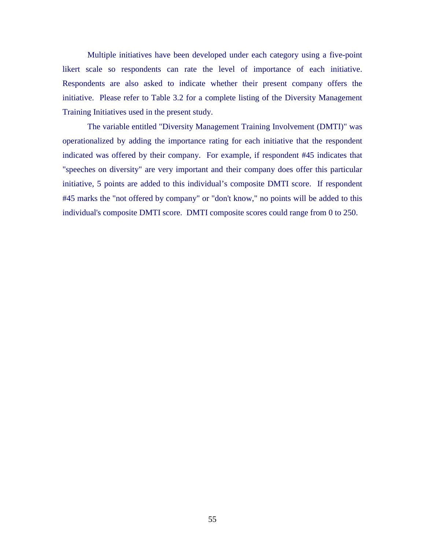Multiple initiatives have been developed under each category using a five-point likert scale so respondents can rate the level of importance of each initiative. Respondents are also asked to indicate whether their present company offers the initiative. Please refer to Table 3.2 for a complete listing of the Diversity Management Training Initiatives used in the present study.

The variable entitled "Diversity Management Training Involvement (DMTI)" was operationalized by adding the importance rating for each initiative that the respondent indicated was offered by their company. For example, if respondent #45 indicates that "speeches on diversity" are very important and their company does offer this particular initiative, 5 points are added to this individual's composite DMTI score. If respondent #45 marks the "not offered by company" or "don't know," no points will be added to this individual's composite DMTI score. DMTI composite scores could range from 0 to 250.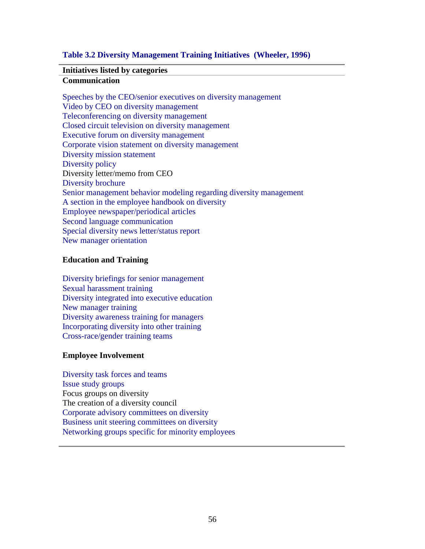## **Table 3.2 Diversity Management Training Initiatives (Wheeler, 1996)**

## **Initiatives listed by categories**

## **Communication**

Speeches by the CEO/senior executives on diversity management Video by CEO on diversity management Teleconferencing on diversity management Closed circuit television on diversity management Executive forum on diversity management Corporate vision statement on diversity management Diversity mission statement Diversity policy Diversity letter/memo from CEO Diversity brochure Senior management behavior modeling regarding diversity management A section in the employee handbook on diversity Employee newspaper/periodical articles Second language communication Special diversity news letter/status report New manager orientation

## **Education and Training**

Diversity briefings for senior management Sexual harassment training Diversity integrated into executive education New manager training Diversity awareness training for managers Incorporating diversity into other training Cross-race/gender training teams

## **Employee Involvement**

Diversity task forces and teams Issue study groups Focus groups on diversity The creation of a diversity council Corporate advisory committees on diversity Business unit steering committees on diversity Networking groups specific for minority employees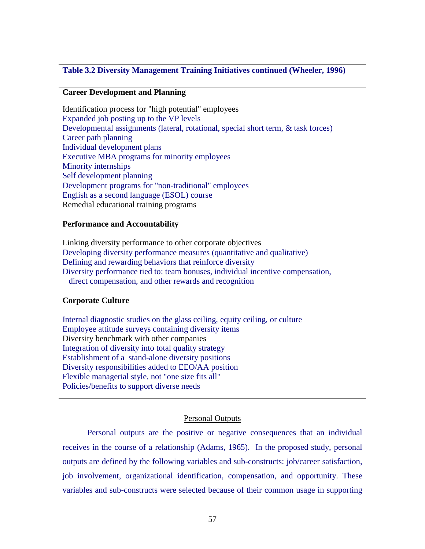## **Table 3.2 Diversity Management Training Initiatives continued (Wheeler, 1996)**

## **Career Development and Planning**

Identification process for "high potential" employees Expanded job posting up to the VP levels Developmental assignments (lateral, rotational, special short term, & task forces) Career path planning Individual development plans Executive MBA programs for minority employees Minority internships Self development planning Development programs for "non-traditional" employees English as a second language (ESOL) course Remedial educational training programs

## **Performance and Accountability**

Linking diversity performance to other corporate objectives Developing diversity performance measures (quantitative and qualitative) Defining and rewarding behaviors that reinforce diversity Diversity performance tied to: team bonuses, individual incentive compensation, direct compensation, and other rewards and recognition

#### **Corporate Culture**

Internal diagnostic studies on the glass ceiling, equity ceiling, or culture Employee attitude surveys containing diversity items Diversity benchmark with other companies Integration of diversity into total quality strategy Establishment of a stand-alone diversity positions Diversity responsibilities added to EEO/AA position Flexible managerial style, not "one size fits all" Policies/benefits to support diverse needs

#### Personal Outputs

Personal outputs are the positive or negative consequences that an individual receives in the course of a relationship (Adams, 1965). In the proposed study, personal outputs are defined by the following variables and sub-constructs: job/career satisfaction, job involvement, organizational identification, compensation, and opportunity. These variables and sub-constructs were selected because of their common usage in supporting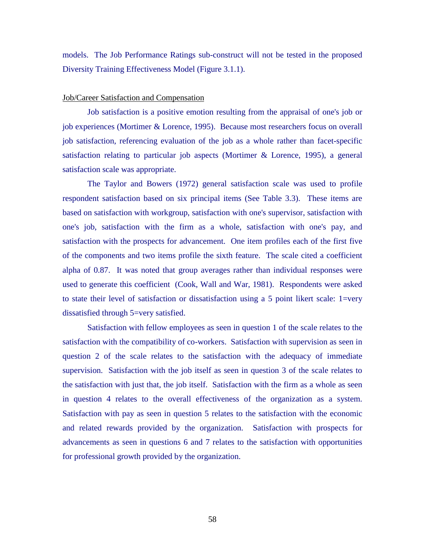models. The Job Performance Ratings sub-construct will not be tested in the proposed Diversity Training Effectiveness Model (Figure 3.1.1).

#### Job/Career Satisfaction and Compensation

Job satisfaction is a positive emotion resulting from the appraisal of one's job or job experiences (Mortimer & Lorence, 1995). Because most researchers focus on overall job satisfaction, referencing evaluation of the job as a whole rather than facet-specific satisfaction relating to particular job aspects (Mortimer & Lorence, 1995), a general satisfaction scale was appropriate.

The Taylor and Bowers (1972) general satisfaction scale was used to profile respondent satisfaction based on six principal items (See Table 3.3). These items are based on satisfaction with workgroup, satisfaction with one's supervisor, satisfaction with one's job, satisfaction with the firm as a whole, satisfaction with one's pay, and satisfaction with the prospects for advancement. One item profiles each of the first five of the components and two items profile the sixth feature. The scale cited a coefficient alpha of 0.87. It was noted that group averages rather than individual responses were used to generate this coefficient (Cook, Wall and War, 1981). Respondents were asked to state their level of satisfaction or dissatisfaction using a 5 point likert scale: 1=very dissatisfied through 5=very satisfied.

Satisfaction with fellow employees as seen in question 1 of the scale relates to the satisfaction with the compatibility of co-workers. Satisfaction with supervision as seen in question 2 of the scale relates to the satisfaction with the adequacy of immediate supervision. Satisfaction with the job itself as seen in question 3 of the scale relates to the satisfaction with just that, the job itself. Satisfaction with the firm as a whole as seen in question 4 relates to the overall effectiveness of the organization as a system. Satisfaction with pay as seen in question 5 relates to the satisfaction with the economic and related rewards provided by the organization. Satisfaction with prospects for advancements as seen in questions 6 and 7 relates to the satisfaction with opportunities for professional growth provided by the organization.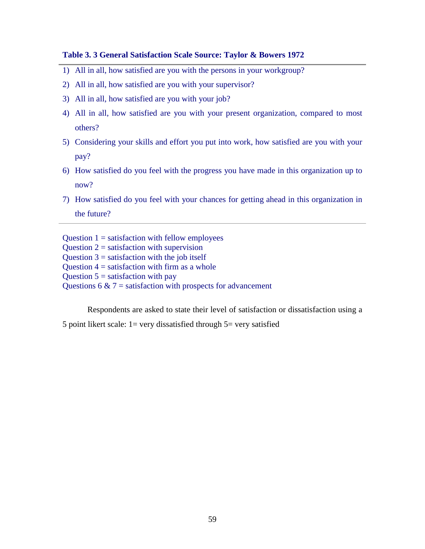## **Table 3. 3 General Satisfaction Scale Source: Taylor & Bowers 1972**

- 1) All in all, how satisfied are you with the persons in your workgroup?
- 2) All in all, how satisfied are you with your supervisor?
- 3) All in all, how satisfied are you with your job?
- 4) All in all, how satisfied are you with your present organization, compared to most others?
- 5) Considering your skills and effort you put into work, how satisfied are you with your pay?
- 6) How satisfied do you feel with the progress you have made in this organization up to now?
- 7) How satisfied do you feel with your chances for getting ahead in this organization in the future?

Question  $1 =$  satisfaction with fellow employees Question  $2 =$  satisfaction with supervision Question  $3 =$  satisfaction with the job itself Question  $4 =$  satisfaction with firm as a whole Question  $5 =$  satisfaction with pay Questions 6  $\&$  7 = satisfaction with prospects for advancement

Respondents are asked to state their level of satisfaction or dissatisfaction using a

5 point likert scale:  $1 = \text{very dissatisfied through } 5 = \text{very satisfied}$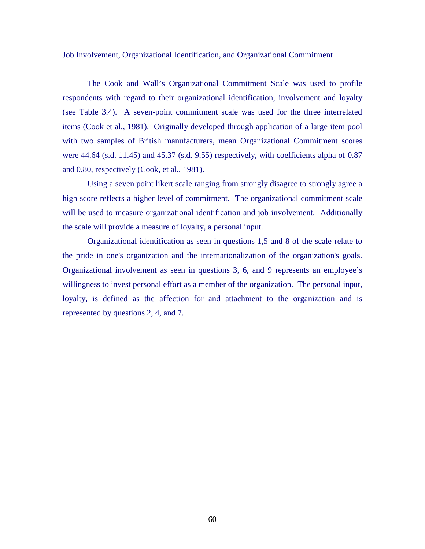## Job Involvement, Organizational Identification, and Organizational Commitment

The Cook and Wall's Organizational Commitment Scale was used to profile respondents with regard to their organizational identification, involvement and loyalty (see Table 3.4). A seven-point commitment scale was used for the three interrelated items (Cook et al., 1981). Originally developed through application of a large item pool with two samples of British manufacturers, mean Organizational Commitment scores were 44.64 (s.d. 11.45) and 45.37 (s.d. 9.55) respectively, with coefficients alpha of 0.87 and 0.80, respectively (Cook, et al., 1981).

Using a seven point likert scale ranging from strongly disagree to strongly agree a high score reflects a higher level of commitment. The organizational commitment scale will be used to measure organizational identification and job involvement. Additionally the scale will provide a measure of loyalty, a personal input.

Organizational identification as seen in questions 1,5 and 8 of the scale relate to the pride in one's organization and the internationalization of the organization's goals. Organizational involvement as seen in questions 3, 6, and 9 represents an employee's willingness to invest personal effort as a member of the organization. The personal input, loyalty, is defined as the affection for and attachment to the organization and is represented by questions 2, 4, and 7.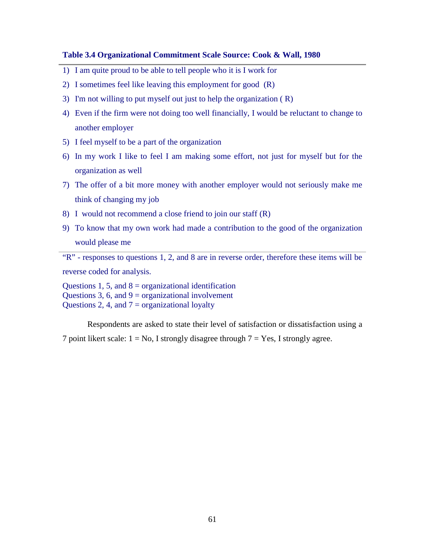## **Table 3.4 Organizational Commitment Scale Source: Cook & Wall, 1980**

- 1) I am quite proud to be able to tell people who it is I work for
- 2) I sometimes feel like leaving this employment for good (R)
- 3) I'm not willing to put myself out just to help the organization ( R)
- 4) Even if the firm were not doing too well financially, I would be reluctant to change to another employer
- 5) I feel myself to be a part of the organization
- 6) In my work I like to feel I am making some effort, not just for myself but for the organization as well
- 7) The offer of a bit more money with another employer would not seriously make me think of changing my job
- 8) I would not recommend a close friend to join our staff (R)
- 9) To know that my own work had made a contribution to the good of the organization would please me

"R" - responses to questions 1, 2, and 8 are in reverse order, therefore these items will be reverse coded for analysis.

Questions 1, 5, and  $8 =$  organizational identification Questions 3, 6, and  $9 =$  organizational involvement Questions 2, 4, and  $7 =$  organizational loyalty

Respondents are asked to state their level of satisfaction or dissatisfaction using a 7 point likert scale:  $1 = No$ , I strongly disagree through  $7 = Yes$ , I strongly agree.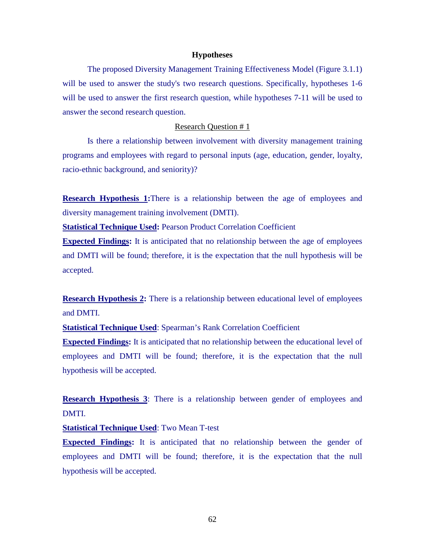#### **Hypotheses**

The proposed Diversity Management Training Effectiveness Model (Figure 3.1.1) will be used to answer the study's two research questions. Specifically, hypotheses 1-6 will be used to answer the first research question, while hypotheses 7-11 will be used to answer the second research question.

### Research Question # 1

Is there a relationship between involvement with diversity management training programs and employees with regard to personal inputs (age, education, gender, loyalty, racio-ethnic background, and seniority)?

**Research Hypothesis 1:**There is a relationship between the age of employees and diversity management training involvement (DMTI).

**Statistical Technique Used:** Pearson Product Correlation Coefficient

**Expected Findings:** It is anticipated that no relationship between the age of employees and DMTI will be found; therefore, it is the expectation that the null hypothesis will be accepted.

**Research Hypothesis 2:** There is a relationship between educational level of employees and DMTI.

**Statistical Technique Used: Spearman's Rank Correlation Coefficient** 

**Expected Findings:** It is anticipated that no relationship between the educational level of employees and DMTI will be found; therefore, it is the expectation that the null hypothesis will be accepted.

**Research Hypothesis 3**: There is a relationship between gender of employees and DMTI.

**Statistical Technique Used**: Two Mean T-test

**Expected Findings:** It is anticipated that no relationship between the gender of employees and DMTI will be found; therefore, it is the expectation that the null hypothesis will be accepted.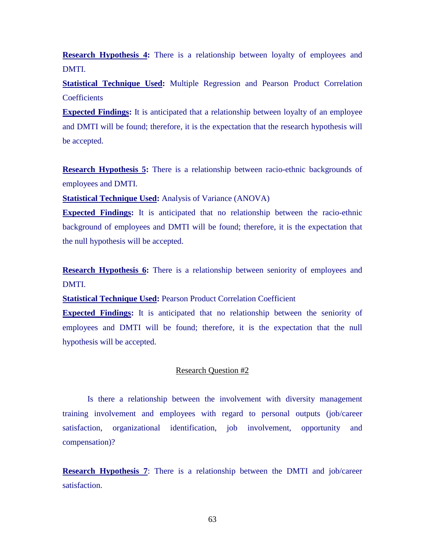**Research Hypothesis 4:** There is a relationship between loyalty of employees and DMTI.

**Statistical Technique Used:** Multiple Regression and Pearson Product Correlation **Coefficients** 

**Expected Findings:** It is anticipated that a relationship between loyalty of an employee and DMTI will be found; therefore, it is the expectation that the research hypothesis will be accepted.

**Research Hypothesis 5:** There is a relationship between racio-ethnic backgrounds of employees and DMTI.

**Statistical Technique Used:** Analysis of Variance (ANOVA)

**Expected Findings:** It is anticipated that no relationship between the racio-ethnic background of employees and DMTI will be found; therefore, it is the expectation that the null hypothesis will be accepted.

**Research Hypothesis 6:** There is a relationship between seniority of employees and DMTI.

**Statistical Technique Used:** Pearson Product Correlation Coefficient

**Expected Findings:** It is anticipated that no relationship between the seniority of employees and DMTI will be found; therefore, it is the expectation that the null hypothesis will be accepted.

## Research Question #2

Is there a relationship between the involvement with diversity management training involvement and employees with regard to personal outputs (job/career satisfaction, organizational identification, job involvement, opportunity and compensation)?

**Research Hypothesis 7:** There is a relationship between the DMTI and job/career satisfaction.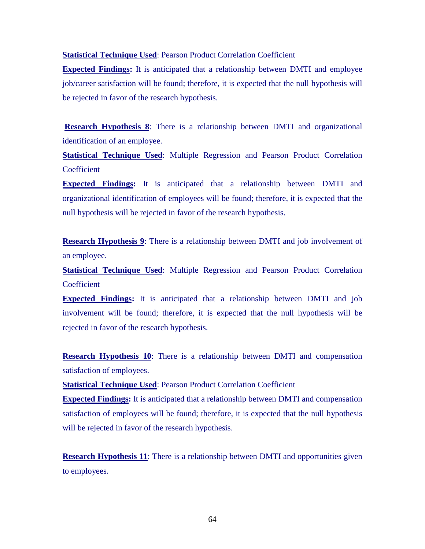**Statistical Technique Used**: Pearson Product Correlation Coefficient

**Expected Findings:** It is anticipated that a relationship between DMTI and employee job/career satisfaction will be found; therefore, it is expected that the null hypothesis will be rejected in favor of the research hypothesis.

**Research Hypothesis 8**: There is a relationship between DMTI and organizational identification of an employee.

**Statistical Technique Used**: Multiple Regression and Pearson Product Correlation **Coefficient** 

**Expected Findings:** It is anticipated that a relationship between DMTI and organizational identification of employees will be found; therefore, it is expected that the null hypothesis will be rejected in favor of the research hypothesis.

**Research Hypothesis 9**: There is a relationship between DMTI and job involvement of an employee.

**Statistical Technique Used:** Multiple Regression and Pearson Product Correlation **Coefficient** 

**Expected Findings:** It is anticipated that a relationship between DMTI and job involvement will be found; therefore, it is expected that the null hypothesis will be rejected in favor of the research hypothesis.

**Research Hypothesis 10**: There is a relationship between DMTI and compensation satisfaction of employees.

**Statistical Technique Used**: Pearson Product Correlation Coefficient

**Expected Findings:** It is anticipated that a relationship between DMTI and compensation satisfaction of employees will be found; therefore, it is expected that the null hypothesis will be rejected in favor of the research hypothesis.

**Research Hypothesis 11:** There is a relationship between DMTI and opportunities given to employees.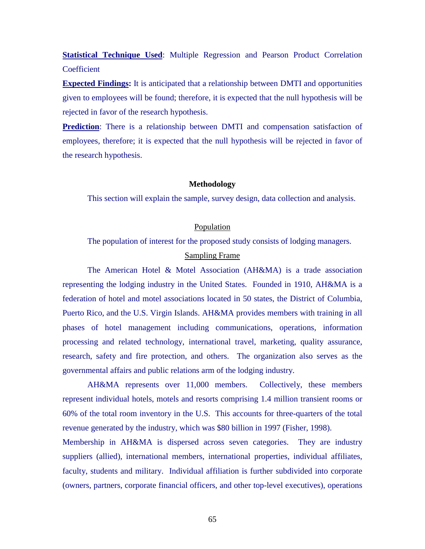**Statistical Technique Used:** Multiple Regression and Pearson Product Correlation **Coefficient** 

**Expected Findings:** It is anticipated that a relationship between DMTI and opportunities given to employees will be found; therefore, it is expected that the null hypothesis will be rejected in favor of the research hypothesis.

**Prediction**: There is a relationship between DMTI and compensation satisfaction of employees, therefore; it is expected that the null hypothesis will be rejected in favor of the research hypothesis.

## **Methodology**

This section will explain the sample, survey design, data collection and analysis.

## Population

The population of interest for the proposed study consists of lodging managers.

## Sampling Frame

The American Hotel & Motel Association (AH&MA) is a trade association representing the lodging industry in the United States. Founded in 1910, AH&MA is a federation of hotel and motel associations located in 50 states, the District of Columbia, Puerto Rico, and the U.S. Virgin Islands. AH&MA provides members with training in all phases of hotel management including communications, operations, information processing and related technology, international travel, marketing, quality assurance, research, safety and fire protection, and others. The organization also serves as the governmental affairs and public relations arm of the lodging industry.

AH&MA represents over 11,000 members. Collectively, these members represent individual hotels, motels and resorts comprising 1.4 million transient rooms or 60% of the total room inventory in the U.S. This accounts for three-quarters of the total revenue generated by the industry, which was \$80 billion in 1997 (Fisher, 1998).

Membership in AH&MA is dispersed across seven categories. They are industry suppliers (allied), international members, international properties, individual affiliates, faculty, students and military. Individual affiliation is further subdivided into corporate (owners, partners, corporate financial officers, and other top-level executives), operations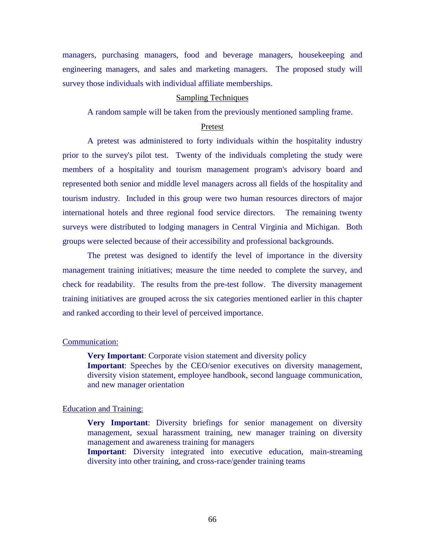managers, purchasing managers, food and beverage managers, housekeeping and engineering managers, and sales and marketing managers. The proposed study will survey those individuals with individual affiliate memberships.

### Sampling Techniques

A random sample will be taken from the previously mentioned sampling frame.

## Pretest

A pretest was administered to forty individuals within the hospitality industry prior to the survey's pilot test. Twenty of the individuals completing the study were members of a hospitality and tourism management program's advisory board and represented both senior and middle level managers across all fields of the hospitality and tourism industry. Included in this group were two human resources directors of major international hotels and three regional food service directors. The remaining twenty surveys were distributed to lodging managers in Central Virginia and Michigan. Both groups were selected because of their accessibility and professional backgrounds.

The pretest was designed to identify the level of importance in the diversity management training initiatives; measure the time needed to complete the survey, and check for readability. The results from the pre-test follow. The diversity management training initiatives are grouped across the six categories mentioned earlier in this chapter and ranked according to their level of perceived importance.

## Communication:

**Very Important**: Corporate vision statement and diversity policy **Important**: Speeches by the CEO/senior executives on diversity management, diversity vision statement, employee handbook, second language communication, and new manager orientation

## Education and Training:

**Very Important**: Diversity briefings for senior management on diversity management, sexual harassment training, new manager training on diversity management and awareness training for managers

**Important**: Diversity integrated into executive education, main-streaming diversity into other training, and cross-race/gender training teams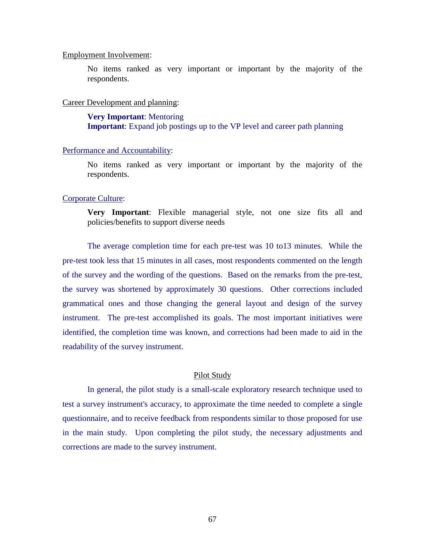## Employment Involvement:

No items ranked as very important or important by the majority of the respondents.

## Career Development and planning:

**Very Important**: Mentoring **Important**: Expand job postings up to the VP level and career path planning

#### Performance and Accountability:

No items ranked as very important or important by the majority of the respondents.

### Corporate Culture:

**Very Important**: Flexible managerial style, not one size fits all and policies/benefits to support diverse needs

The average completion time for each pre-test was 10 to13 minutes. While the pre-test took less that 15 minutes in all cases, most respondents commented on the length of the survey and the wording of the questions. Based on the remarks from the pre-test, the survey was shortened by approximately 30 questions. Other corrections included grammatical ones and those changing the general layout and design of the survey instrument. The pre-test accomplished its goals. The most important initiatives were identified, the completion time was known, and corrections had been made to aid in the readability of the survey instrument.

#### Pilot Study

In general, the pilot study is a small-scale exploratory research technique used to test a survey instrument's accuracy, to approximate the time needed to complete a single questionnaire, and to receive feedback from respondents similar to those proposed for use in the main study. Upon completing the pilot study, the necessary adjustments and corrections are made to the survey instrument.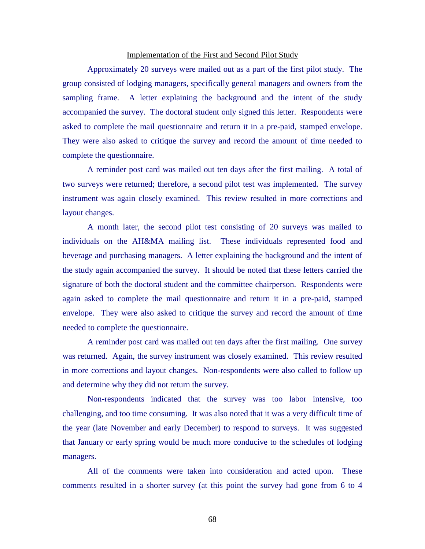## Implementation of the First and Second Pilot Study

Approximately 20 surveys were mailed out as a part of the first pilot study. The group consisted of lodging managers, specifically general managers and owners from the sampling frame. A letter explaining the background and the intent of the study accompanied the survey. The doctoral student only signed this letter. Respondents were asked to complete the mail questionnaire and return it in a pre-paid, stamped envelope. They were also asked to critique the survey and record the amount of time needed to complete the questionnaire.

A reminder post card was mailed out ten days after the first mailing. A total of two surveys were returned; therefore, a second pilot test was implemented. The survey instrument was again closely examined. This review resulted in more corrections and layout changes.

A month later, the second pilot test consisting of 20 surveys was mailed to individuals on the AH&MA mailing list. These individuals represented food and beverage and purchasing managers. A letter explaining the background and the intent of the study again accompanied the survey. It should be noted that these letters carried the signature of both the doctoral student and the committee chairperson. Respondents were again asked to complete the mail questionnaire and return it in a pre-paid, stamped envelope. They were also asked to critique the survey and record the amount of time needed to complete the questionnaire.

A reminder post card was mailed out ten days after the first mailing. One survey was returned. Again, the survey instrument was closely examined. This review resulted in more corrections and layout changes. Non-respondents were also called to follow up and determine why they did not return the survey.

Non-respondents indicated that the survey was too labor intensive, too challenging, and too time consuming. It was also noted that it was a very difficult time of the year (late November and early December) to respond to surveys. It was suggested that January or early spring would be much more conducive to the schedules of lodging managers.

All of the comments were taken into consideration and acted upon. These comments resulted in a shorter survey (at this point the survey had gone from 6 to 4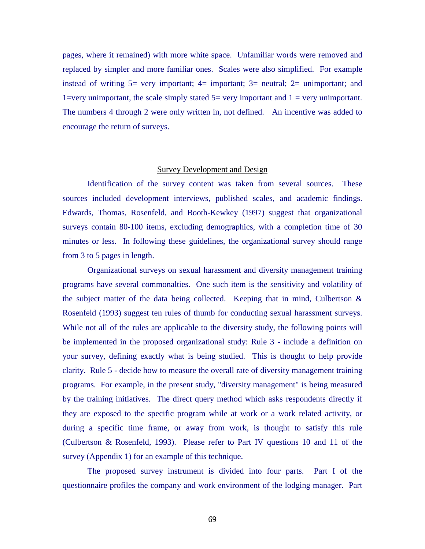pages, where it remained) with more white space. Unfamiliar words were removed and replaced by simpler and more familiar ones. Scales were also simplified. For example instead of writing  $5=$  very important;  $4=$  important;  $3=$  neutral;  $2=$  unimportant; and 1=very unimportant, the scale simply stated  $5=$  very important and  $1=$  very unimportant. The numbers 4 through 2 were only written in, not defined. An incentive was added to encourage the return of surveys.

## Survey Development and Design

Identification of the survey content was taken from several sources. These sources included development interviews, published scales, and academic findings. Edwards, Thomas, Rosenfeld, and Booth-Kewkey (1997) suggest that organizational surveys contain 80-100 items, excluding demographics, with a completion time of 30 minutes or less. In following these guidelines, the organizational survey should range from 3 to 5 pages in length.

Organizational surveys on sexual harassment and diversity management training programs have several commonalties. One such item is the sensitivity and volatility of the subject matter of the data being collected. Keeping that in mind, Culbertson & Rosenfeld (1993) suggest ten rules of thumb for conducting sexual harassment surveys. While not all of the rules are applicable to the diversity study, the following points will be implemented in the proposed organizational study: Rule 3 - include a definition on your survey, defining exactly what is being studied. This is thought to help provide clarity. Rule 5 - decide how to measure the overall rate of diversity management training programs. For example, in the present study, "diversity management" is being measured by the training initiatives. The direct query method which asks respondents directly if they are exposed to the specific program while at work or a work related activity, or during a specific time frame, or away from work, is thought to satisfy this rule (Culbertson & Rosenfeld, 1993). Please refer to Part IV questions 10 and 11 of the survey (Appendix 1) for an example of this technique.

The proposed survey instrument is divided into four parts. Part I of the questionnaire profiles the company and work environment of the lodging manager. Part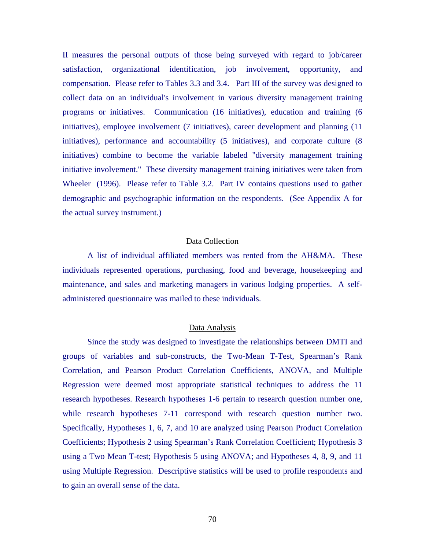II measures the personal outputs of those being surveyed with regard to job/career satisfaction, organizational identification, job involvement, opportunity, and compensation. Please refer to Tables 3.3 and 3.4. Part III of the survey was designed to collect data on an individual's involvement in various diversity management training programs or initiatives. Communication (16 initiatives), education and training (6 initiatives), employee involvement (7 initiatives), career development and planning (11 initiatives), performance and accountability (5 initiatives), and corporate culture (8 initiatives) combine to become the variable labeled "diversity management training initiative involvement." These diversity management training initiatives were taken from Wheeler (1996). Please refer to Table 3.2. Part IV contains questions used to gather demographic and psychographic information on the respondents. (See Appendix A for the actual survey instrument.)

## Data Collection

A list of individual affiliated members was rented from the AH&MA. These individuals represented operations, purchasing, food and beverage, housekeeping and maintenance, and sales and marketing managers in various lodging properties. A selfadministered questionnaire was mailed to these individuals.

## Data Analysis

Since the study was designed to investigate the relationships between DMTI and groups of variables and sub-constructs, the Two-Mean T-Test, Spearman's Rank Correlation, and Pearson Product Correlation Coefficients, ANOVA, and Multiple Regression were deemed most appropriate statistical techniques to address the 11 research hypotheses. Research hypotheses 1-6 pertain to research question number one, while research hypotheses 7-11 correspond with research question number two. Specifically, Hypotheses 1, 6, 7, and 10 are analyzed using Pearson Product Correlation Coefficients; Hypothesis 2 using Spearman's Rank Correlation Coefficient; Hypothesis 3 using a Two Mean T-test; Hypothesis 5 using ANOVA; and Hypotheses 4, 8, 9, and 11 using Multiple Regression. Descriptive statistics will be used to profile respondents and to gain an overall sense of the data.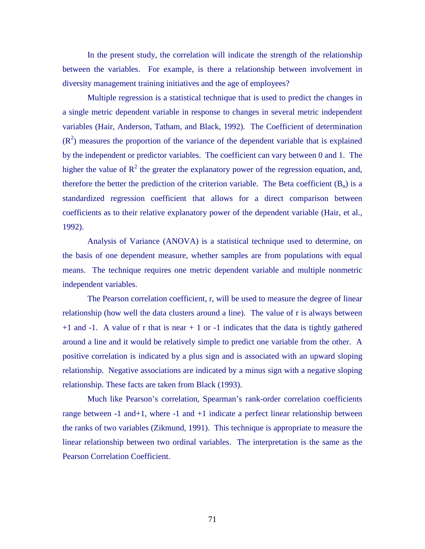In the present study, the correlation will indicate the strength of the relationship between the variables. For example, is there a relationship between involvement in diversity management training initiatives and the age of employees?

Multiple regression is a statistical technique that is used to predict the changes in a single metric dependent variable in response to changes in several metric independent variables (Hair, Anderson, Tatham, and Black, 1992). The Coefficient of determination  $(R<sup>2</sup>)$  measures the proportion of the variance of the dependent variable that is explained by the independent or predictor variables. The coefficient can vary between 0 and 1. The higher the value of  $R^2$  the greater the explanatory power of the regression equation, and, therefore the better the prediction of the criterion variable. The Beta coefficient  $(B_n)$  is a standardized regression coefficient that allows for a direct comparison between coefficients as to their relative explanatory power of the dependent variable (Hair, et al., 1992).

Analysis of Variance (ANOVA) is a statistical technique used to determine, on the basis of one dependent measure, whether samples are from populations with equal means. The technique requires one metric dependent variable and multiple nonmetric independent variables.

The Pearson correlation coefficient, r, will be used to measure the degree of linear relationship (how well the data clusters around a line). The value of r is always between  $+1$  and  $-1$ . A value of r that is near  $+1$  or  $-1$  indicates that the data is tightly gathered around a line and it would be relatively simple to predict one variable from the other. A positive correlation is indicated by a plus sign and is associated with an upward sloping relationship. Negative associations are indicated by a minus sign with a negative sloping relationship. These facts are taken from Black (1993).

Much like Pearson's correlation, Spearman's rank-order correlation coefficients range between -1 and+1, where -1 and +1 indicate a perfect linear relationship between the ranks of two variables (Zikmund, 1991). This technique is appropriate to measure the linear relationship between two ordinal variables. The interpretation is the same as the Pearson Correlation Coefficient.